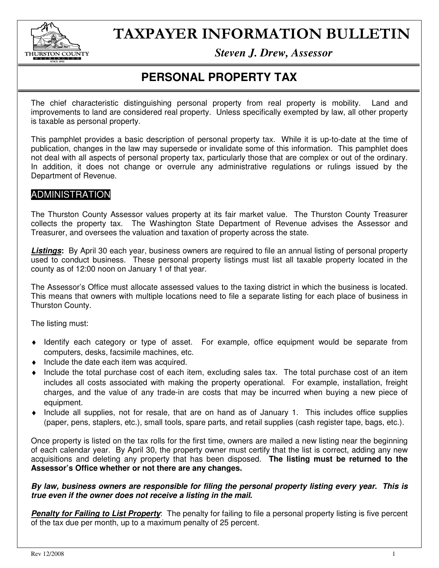

# TAXPAYER INFORMATION BULLETIN

*Steven J. Drew, Assessor* 

## **PERSONAL PROPERTY TAX**

The chief characteristic distinguishing personal property from real property is mobility. Land and improvements to land are considered real property. Unless specifically exempted by law, all other property is taxable as personal property.

This pamphlet provides a basic description of personal property tax. While it is up-to-date at the time of publication, changes in the law may supersede or invalidate some of this information. This pamphlet does not deal with all aspects of personal property tax, particularly those that are complex or out of the ordinary. In addition, it does not change or overrule any administrative regulations or rulings issued by the Department of Revenue.

### ADMINISTRATION

The Thurston County Assessor values property at its fair market value. The Thurston County Treasurer collects the property tax. The Washington State Department of Revenue advises the Assessor and Treasurer, and oversees the valuation and taxation of property across the state.

**Listings:** By April 30 each year, business owners are required to file an annual listing of personal property used to conduct business. These personal property listings must list all taxable property located in the county as of 12:00 noon on January 1 of that year.

The Assessor's Office must allocate assessed values to the taxing district in which the business is located. This means that owners with multiple locations need to file a separate listing for each place of business in Thurston County.

The listing must:

- ♦ Identify each category or type of asset. For example, office equipment would be separate from computers, desks, facsimile machines, etc.
- $\bullet$  Include the date each item was acquired.
- ♦ Include the total purchase cost of each item, excluding sales tax. The total purchase cost of an item includes all costs associated with making the property operational. For example, installation, freight charges, and the value of any trade-in are costs that may be incurred when buying a new piece of equipment.
- ♦ Include all supplies, not for resale, that are on hand as of January 1. This includes office supplies (paper, pens, staplers, etc.), small tools, spare parts, and retail supplies (cash register tape, bags, etc.).

Once property is listed on the tax rolls for the first time, owners are mailed a new listing near the beginning of each calendar year. By April 30, the property owner must certify that the list is correct, adding any new acquisitions and deleting any property that has been disposed. **The listing must be returned to the Assessor's Office whether or not there are any changes.** 

#### **By law, business owners are responsible for filing the personal property listing every year. This is true even if the owner does not receive a listing in the mail.**

**Penalty for Failing to List Property**: The penalty for failing to file a personal property listing is five percent of the tax due per month, up to a maximum penalty of 25 percent.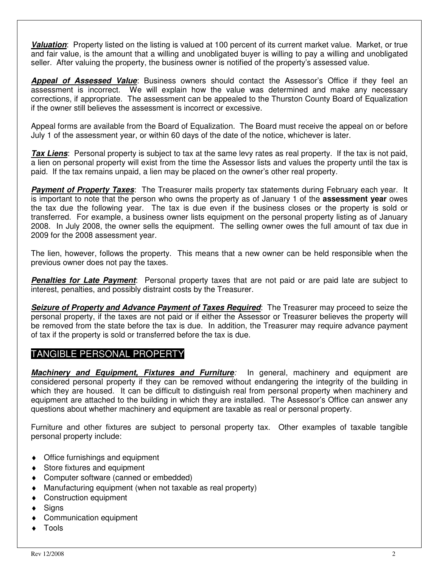**Valuation**: Property listed on the listing is valued at 100 percent of its current market value. Market, or true and fair value, is the amount that a willing and unobligated buyer is willing to pay a willing and unobligated seller. After valuing the property, the business owner is notified of the property's assessed value.

**Appeal of Assessed Value**: Business owners should contact the Assessor's Office if they feel an assessment is incorrect. We will explain how the value was determined and make any necessary corrections, if appropriate. The assessment can be appealed to the Thurston County Board of Equalization if the owner still believes the assessment is incorrect or excessive.

Appeal forms are available from the Board of Equalization. The Board must receive the appeal on or before July 1 of the assessment year, or within 60 days of the date of the notice, whichever is later.

**Tax Liens**: Personal property is subject to tax at the same levy rates as real property. If the tax is not paid, a lien on personal property will exist from the time the Assessor lists and values the property until the tax is paid. If the tax remains unpaid, a lien may be placed on the owner's other real property.

**Payment of Property Taxes**: The Treasurer mails property tax statements during February each year. It is important to note that the person who owns the property as of January 1 of the **assessment year** owes the tax due the following year. The tax is due even if the business closes or the property is sold or transferred. For example, a business owner lists equipment on the personal property listing as of January 2008. In July 2008, the owner sells the equipment. The selling owner owes the full amount of tax due in 2009 for the 2008 assessment year.

The lien, however, follows the property. This means that a new owner can be held responsible when the previous owner does not pay the taxes.

**Penalties for Late Payment**: Personal property taxes that are not paid or are paid late are subject to interest, penalties, and possibly distraint costs by the Treasurer.

**Seizure of Property and Advance Payment of Taxes Required:** The Treasurer may proceed to seize the personal property, if the taxes are not paid or if either the Assessor or Treasurer believes the property will be removed from the state before the tax is due. In addition, the Treasurer may require advance payment of tax if the property is sold or transferred before the tax is due.

#### TANGIBLE PERSONAL PROPERTY

**Machinery and Equipment, Fixtures and Furniture**: In general, machinery and equipment are considered personal property if they can be removed without endangering the integrity of the building in which they are housed. It can be difficult to distinguish real from personal property when machinery and equipment are attached to the building in which they are installed. The Assessor's Office can answer any questions about whether machinery and equipment are taxable as real or personal property.

Furniture and other fixtures are subject to personal property tax. Other examples of taxable tangible personal property include:

- ♦ Office furnishings and equipment
- Store fixtures and equipment
- ♦ Computer software (canned or embedded)
- ♦ Manufacturing equipment (when not taxable as real property)
- ♦ Construction equipment
- $\triangleleft$  Signs
- ♦ Communication equipment
- **Tools**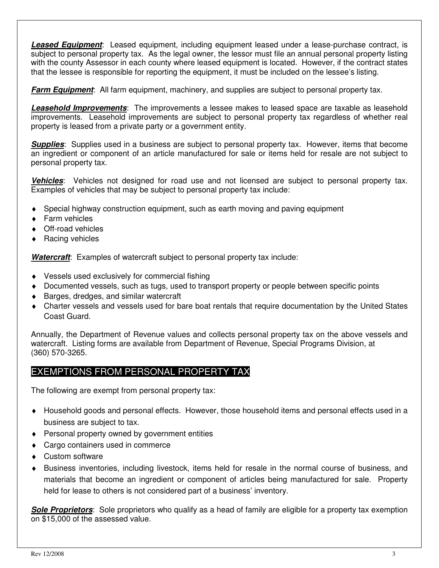**Leased Equipment**: Leased equipment, including equipment leased under a lease-purchase contract, is subject to personal property tax. As the legal owner, the lessor must file an annual personal property listing with the county Assessor in each county where leased equipment is located. However, if the contract states that the lessee is responsible for reporting the equipment, it must be included on the lessee's listing.

**Farm Equipment:** All farm equipment, machinery, and supplies are subject to personal property tax.

**Leasehold Improvements**: The improvements a lessee makes to leased space are taxable as leasehold improvements. Leasehold improvements are subject to personal property tax regardless of whether real property is leased from a private party or a government entity.

**Supplies**: Supplies used in a business are subject to personal property tax. However, items that become an ingredient or component of an article manufactured for sale or items held for resale are not subject to personal property tax.

**Vehicles**: Vehicles not designed for road use and not licensed are subject to personal property tax. Examples of vehicles that may be subject to personal property tax include:

- ♦ Special highway construction equipment, such as earth moving and paving equipment
- ♦ Farm vehicles
- ◆ Off-road vehicles
- ♦ Racing vehicles

**Watercraft**: Examples of watercraft subject to personal property tax include:

- ♦ Vessels used exclusively for commercial fishing
- ♦ Documented vessels, such as tugs, used to transport property or people between specific points
- ♦ Barges, dredges, and similar watercraft
- ♦ Charter vessels and vessels used for bare boat rentals that require documentation by the United States Coast Guard.

Annually, the Department of Revenue values and collects personal property tax on the above vessels and watercraft. Listing forms are available from Department of Revenue, Special Programs Division, at (360) 570-3265.

#### EXEMPTIONS FROM PERSONAL PROPERTY TAX

The following are exempt from personal property tax:

- ♦ Household goods and personal effects. However, those household items and personal effects used in a business are subject to tax.
- ♦ Personal property owned by government entities
- ♦ Cargo containers used in commerce
- ♦ Custom software
- ♦ Business inventories, including livestock, items held for resale in the normal course of business, and materials that become an ingredient or component of articles being manufactured for sale. Property held for lease to others is not considered part of a business' inventory.

**Sole Proprietors**: Sole proprietors who qualify as a head of family are eligible for a property tax exemption on \$15,000 of the assessed value.